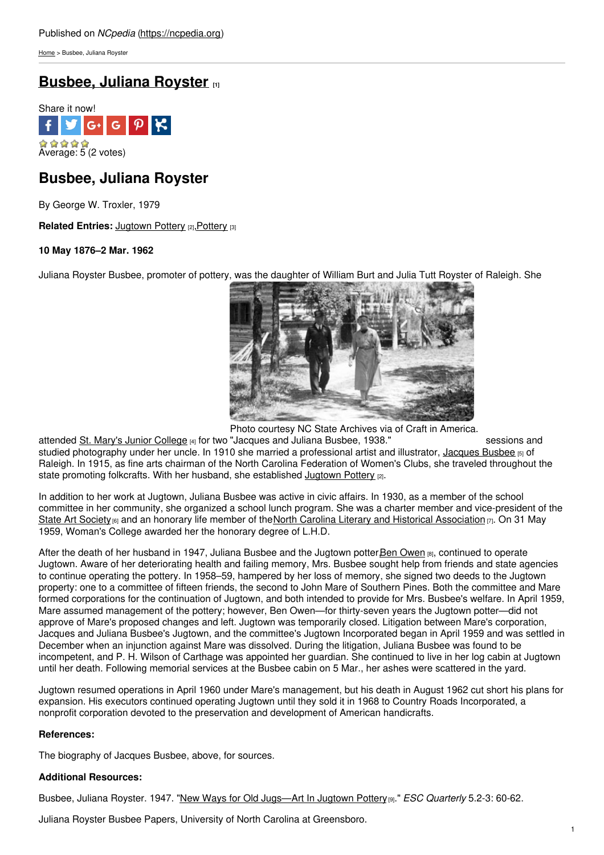[Home](https://ncpedia.org/) > Busbee, Juliana Royster

# **[Busbee,](https://ncpedia.org/biography/busbee-juliana) Juliana Royster [1]**



## **Busbee, Juliana Royster**

By George W. Troxler, 1979

**Related Entries: [Jugtown](https://ncpedia.org/pottery/jugtown) [Pottery](https://ncpedia.org/pottery/overview) [2], Pottery [3]** 

### **10 May 1876–2 Mar. 1962**

Juliana Royster Busbee, promoter of [pottery,](http://www.social9.com) was the daughter of William Burt and Julia Tutt Royster of Raleigh. She



Photo courtesy NC State Archives via of Craft in America.

attended <u>St. Mary's Junior [College](http://www.sms.edu/) <sub>[4]</sub> f</u>or two "Jacques and Juliana Busbee, 1938." sessions and studied photography under her uncle. In 1910 she married a professional artist and illustrator, [Jacques](https://ncpedia.org/biography/busbee-jacques-born-james) Busbee [5] of Raleigh. In 1915, as fine arts chairman of the North Carolina Federation of Women's Clubs, she traveled throughout the state promoting folkcrafts. With her husband, she established [Jugtown](https://ncpedia.org/pottery/jugtown) Pottery [2].

In addition to her work at Jugtown, Juliana Busbee was active in civic affairs. In 1930, as a member of the school committee in her community, she organized a school lunch program. She was a charter member and vice-president of the State Art [Society](https://ncpedia.org/state-art-society)  $[6]$  and an honorary life member of the North Carolina Literary and Historical [Association](https://ncpedia.org/literary-and-historical-association)  $[7]$ . On 31 May 1959, Woman's College awarded her the honorary degree of L.H.D.

After the death of her husband in 1947, Juliana Busbee and the Jugtown potter,Ben [Owen](https://ncpedia.org/biography/owen-benjamin-wade) [8], continued to operate Jugtown. Aware of her deteriorating health and failing memory, Mrs. Busbee sought help from friends and state agencies to continue operating the pottery. In 1958–59, hampered by her loss of memory, she signed two deeds to the Jugtown property: one to a committee of fifteen friends, the second to John Mare of Southern Pines. Both the committee and Mare formed corporations for the continuation of Jugtown, and both intended to provide for Mrs. Busbee's welfare. In April 1959, Mare assumed management of the pottery; however, Ben Owen—for thirty-seven years the Jugtown potter—did not approve of Mare's proposed changes and left. Jugtown was temporarily closed. Litigation between Mare's corporation, Jacques and Juliana Busbee's Jugtown, and the committee's Jugtown Incorporated began in April 1959 and was settled in December when an injunction against Mare was dissolved. During the litigation, Juliana Busbee was found to be incompetent, and P. H. Wilson of Carthage was appointed her guardian. She continued to live in her log cabin at Jugtown until her death. Following memorial services at the Busbee cabin on 5 Mar., her ashes were scattered in the yard.

Jugtown resumed operations in April 1960 under Mare's management, but his death in August 1962 cut short his plans for expansion. His executors continued operating Jugtown until they sold it in 1968 to Country Roads Incorporated, a nonprofit corporation devoted to the preservation and development of American handicrafts.

### **References:**

The biography of Jacques Busbee, above, for sources.

### **Additional Resources:**

Busbee, Juliana Royster. 1947. "New Ways for Old [Jugs—Art](http://digital.ncdcr.gov/u?/p249901coll22,452000) In Jugtown Pottery[9]." *ESC Quarterly* 5.2-3: 60-62.

Juliana Royster Busbee Papers, University of North Carolina at Greensboro.